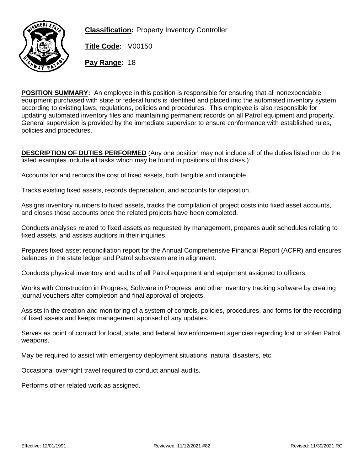

**Classification:** Property Inventory Controller

**Title Code:** V00150

**Pay Range:** 18

POSITION SUMMARY: An employee in this position is responsible for ensuring that all nonexpendable equipment purchased with state or federal funds is identified and placed into the automated inventory system according to existing laws, regulations, policies and procedures. This employee is also responsible for updating automated inventory files and maintaining permanent records on all Patrol equipment and property. General supervision is provided by the immediate supervisor to ensure conformance with established rules, policies and procedures.

DESCRIPTION OF DUTIES PERFORMED (Any one position may not include all of the duties listed nor do the listed examples include all tasks which may be found in positions of this class.):

Accounts for and records the cost of fixed assets, both tangible and intangible.

Tracks existing fixed assets, records depreciation, and accounts for disposition.

Assigns inventory numbers to fixed assets, tracks the compilation of project costs into fixed asset accounts, and closes those accounts once the related projects have been completed.

Conducts analyses related to fixed assets as requested by management, prepares audit schedules relating to fixed assets, and assists auditors in their inquiries.

Prepares fixed asset reconciliation report for the Annual Comprehensive Financial Report (ACFR) and ensures balances in the state ledger and Patrol subsystem are in alignment.

Conducts physical inventory and audits of all Patrol equipment and equipment assigned to officers.

Works with Construction in Progress, Software in Progress, and other inventory tracking software by creating journal vouchers after completion and final approval of projects.

Assists in the creation and monitoring of a system of controls, policies, procedures, and forms for the recording of fixed assets and keeps management apprised of any updates.

Serves as point of contact for local, state, and federal law enforcement agencies regarding lost or stolen Patrol weapons.

May be required to assist with emergency deployment situations, natural disasters, etc.

Occasional overnight travel required to conduct annual audits.

Performs other related work as assigned.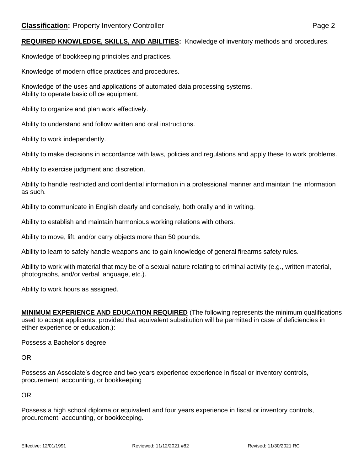REQUIRED KNOWLEDGE, SKILLS, AND ABILITIES: Knowledge of inventory methods and procedures.

Knowledge of bookkeeping principles and practices.

Knowledge of modern office practices and procedures.

Knowledge of the uses and applications of automated data processing systems. Ability to operate basic office equipment.

Ability to organize and plan work effectively.

Ability to understand and follow written and oral instructions.

Ability to work independently.

Ability to make decisions in accordance with laws, policies and regulations and apply these to work problems.

Ability to exercise judgment and discretion.

Ability to handle restricted and confidential information in a professional manner and maintain the information as such.

Ability to communicate in English clearly and concisely, both orally and in writing.

Ability to establish and maintain harmonious working relations with others.

Ability to move, lift, and/or carry objects more than 50 pounds.

Ability to learn to safely handle weapons and to gain knowledge of general firearms safety rules.

Ability to work with material that may be of a sexual nature relating to criminal activity (e.g., written material, photographs, and/or verbal language, etc.).

Ability to work hours as assigned.

MINIMUM EXPERIENCE AND EDUCATION REQUIRED (The following represents the minimum qualifications used to accept applicants, provided that equivalent substitution will be permitted in case of deficiencies in either experience or education.):

Possess a Bachelor's degree

OR

Possess an Associate's degree and two years experience experience in fiscal or inventory controls, procurement, accounting, or bookkeeping

OR

Possess a high school diploma or equivalent and four years experience in fiscal or inventory controls, procurement, accounting, or bookkeeping.